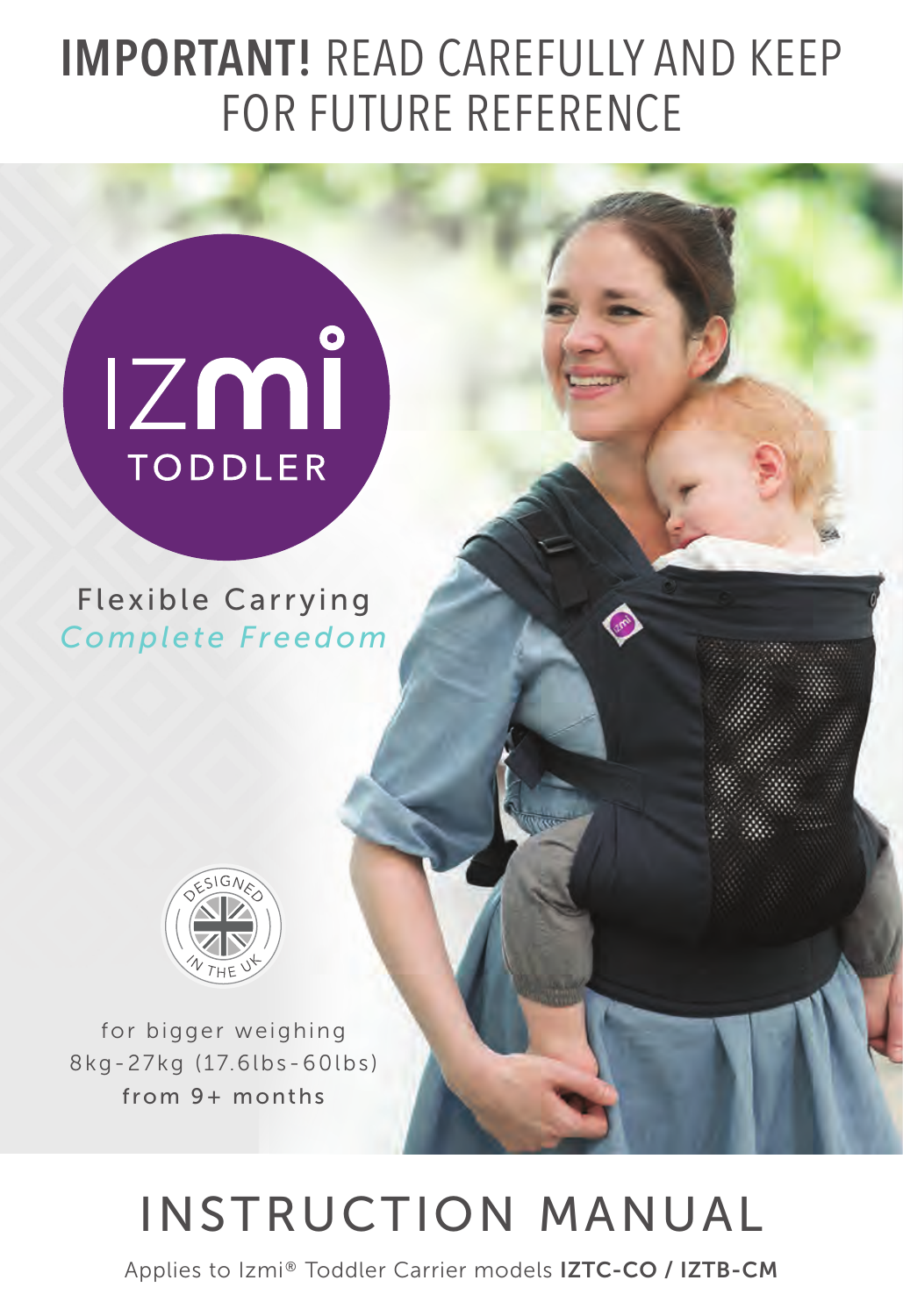# IMPORTANT! READ CAREFULLY AND KEEP FOR FUTURE REFERENCE

# **IZMİ** TODDLER

Flexible Carrying *Complete Freedom*



for bigger weighing 8kg-27kg (17.6lbs-60lbs) from 9+ months

# INSTRUCTION MANUAL

Applies to Izmi® Toddler Carrier models IZTC-CO / IZTB-CM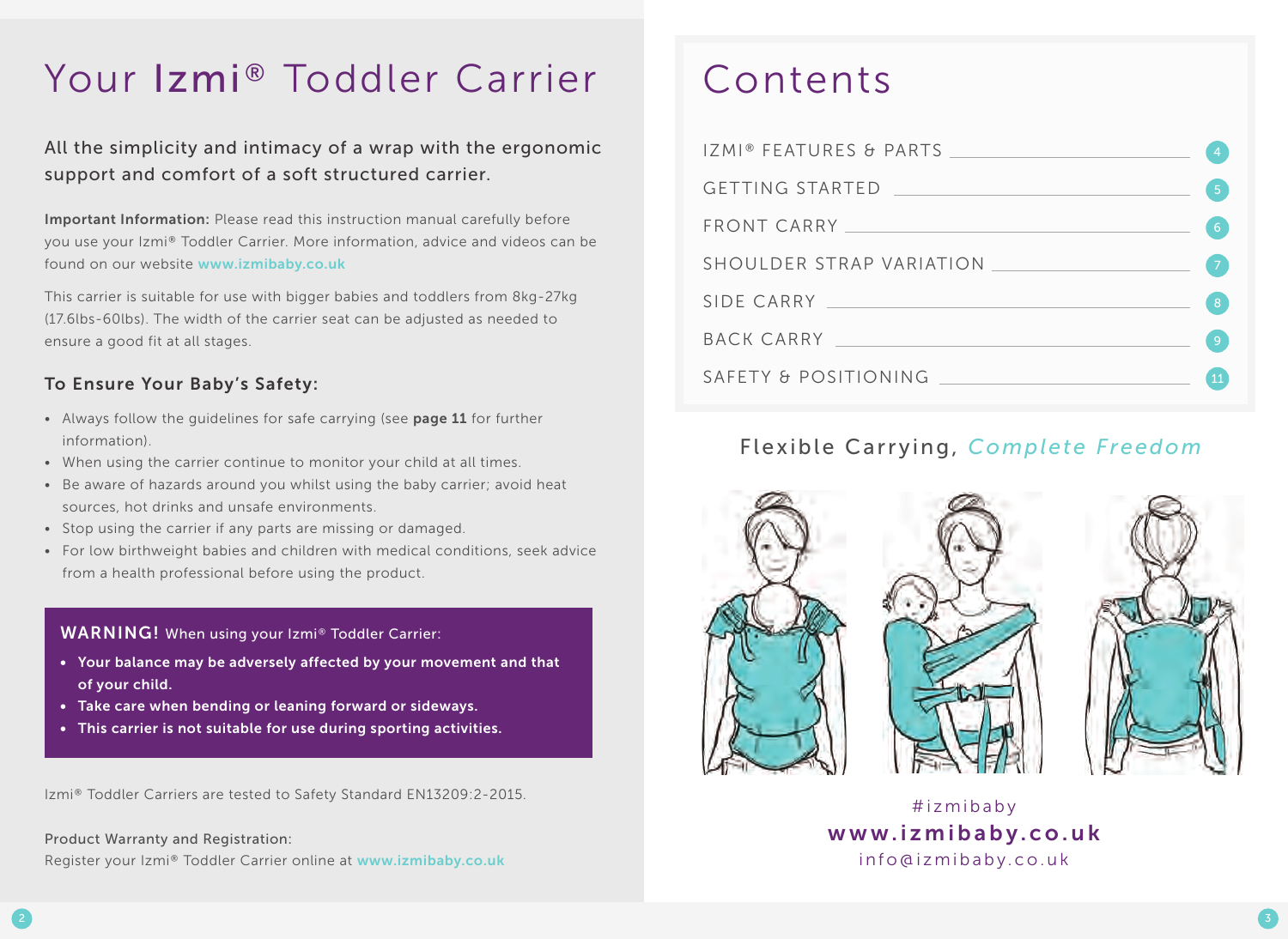# Your Izmi® Toddler Carrier Contents

All the simplicity and intimacy of a wrap with the ergonomic support and comfort of a soft structured carrier.

Important Information: Please read this instruction manual carefully before you use your Izmi® Toddler Carrier. More information, advice and videos can be found on our website www.izmibaby.co.uk

This carrier is suitable for use with bigger babies and toddlers from 8kg-27kg (17.6lbs-60lbs). The width of the carrier seat can be adjusted as needed to ensure a good fit at all stages.

### To Ensure Your Baby's Safety:

- Always follow the quidelines for safe carrying (see page 11 for further information).
- When using the carrier continue to monitor your child at all times.
- Be aware of hazards around you whilst using the baby carrier; avoid heat sources, hot drinks and unsafe environments.
- Stop using the carrier if any parts are missing or damaged.
- For low birthweight babies and children with medical conditions, seek advice from a health professional before using the product.

#### WARNING! When using your Izmi® Toddler Carrier:

- Your balance may be adversely affected by your movement and that of your child.
- Take care when bending or leaning forward or sideways.
- This carrier is not suitable for use during sporting activities.

Izmi® Toddler Carriers are tested to Safety Standard EN13209:2-2015.

Product Warranty and Registration: Register your Izmi® Toddler Carrier online at www.izmibaby.co.uk

| GETTING STARTED AND THE RESERVE THE RESERVE THE RESERVE THAT A RESERVE THE RESERVE THAT A REPORT OF THE RESERVE THAT A REPORT OF THE RESERVE THAT A REPORT OF THE REPORT OF THE REPORT OF THE REPORT OF THE REPORT OF THE REPO |     |
|--------------------------------------------------------------------------------------------------------------------------------------------------------------------------------------------------------------------------------|-----|
| FRONT CARRY NAMES AND RESERVE TO A RESERVE THE RESERVE TO A RESERVE THE RESERVE TO A REPORT OF THE RESERVE TO A RESERVE THE RESERVE TO A REPORT OF THE RESERVE TO A REPORT OF THE RESERVE TO A REPORT OF THE REPORT OF THE RES |     |
|                                                                                                                                                                                                                                |     |
| SIDE CARRY NAME AND RESIDENCE CARRY                                                                                                                                                                                            | Ι8. |
| BACK CARRY NAMES AND RESIDENCE AND RESIDENCE AND RESIDENCE AND RESIDENCE AND RESIDENCE AND RESIDENCE AND RESIDENCE AND RESIDENCE AND RESIDENCE AND RESIDENCE AND RESIDENCE AND RESIDENCE AND RESIDENCE AND RESIDENCE AND RESID | -9  |
| SAFFTY & POSITIONING<br><u> 1980 - John Stein, Amerikaansk politiker (</u>                                                                                                                                                     |     |

## Flexible Carrying, *Complete Freedom*



# #izmibaby www.izmibaby.co.uk info@izmibaby.co.uk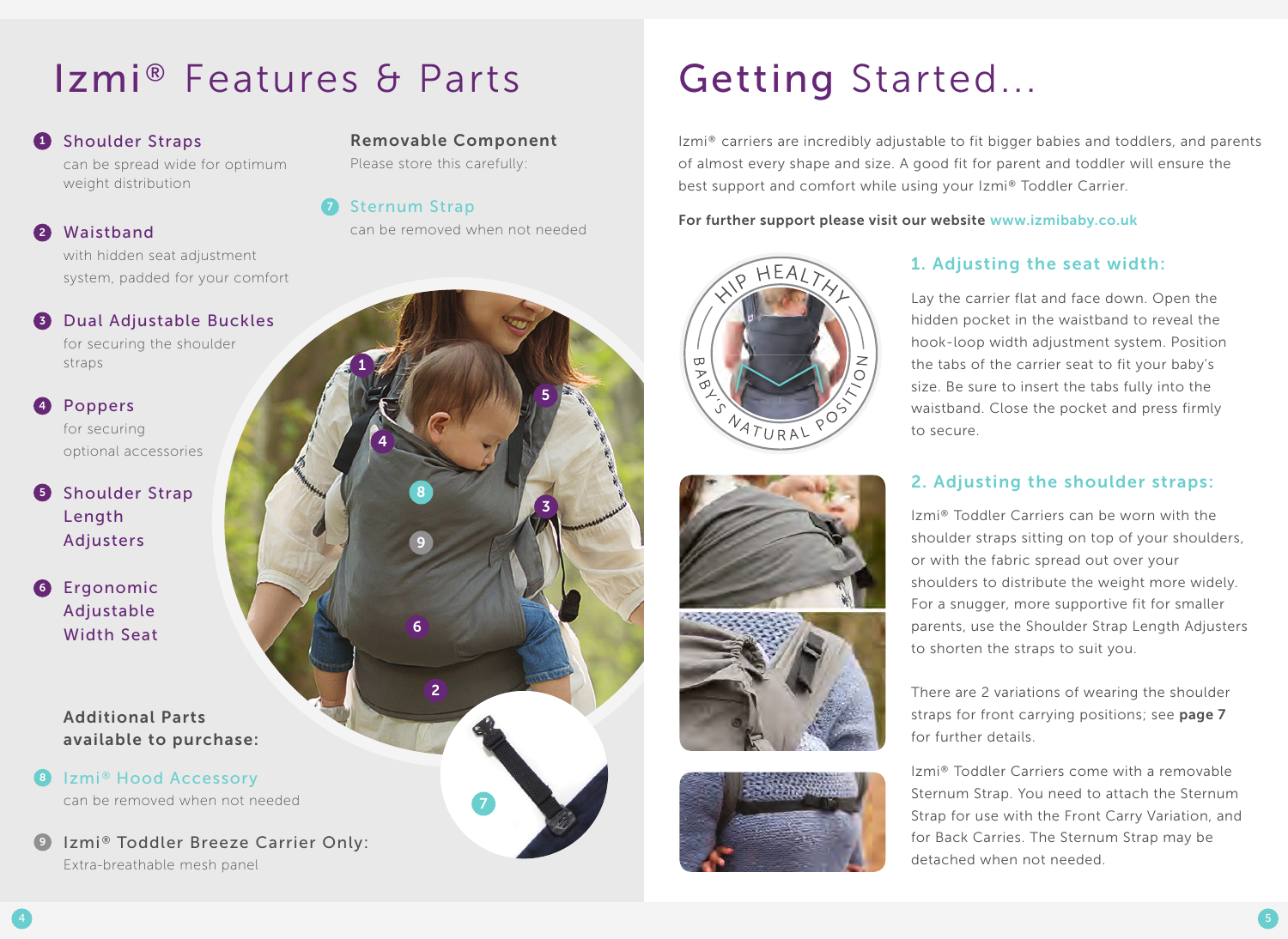# Izmi® Features & Parts Getting Started...

### **1** Shoulder Straps

can be spread wide for optimum weight distribution

### Waistband 2

with hidden seat adjustment system, padded for your comfort

## **3** Dual Adjustable Buckles

for securing the shoulder straps

### 4 Poppers for securing optional accessories

- **5** Shoulder Strap Length Adjusters
- **6** Ergonomic Adjustable Width Seat

### Additional Parts available to purchase:

8 Izmi® Hood Accessory can be removed when not needed

**9** Izmi® Toddler Breeze Carrier Only: Extra-breathable mesh panel

# Removable Component

Please store this carefully:

7 Sternum Strap

can be removed when not needed



Izmi® carriers are incredibly adjustable to fit bigger babies and toddlers, and parents of almost every shape and size. A good fit for parent and toddler will ensure the best support and comfort while using your Izmi® Toddler Carrier.

For further support please visit our website www.izmibaby.co.uk









### 1. Adjusting the seat width:

Lay the carrier flat and face down. Open the hidden pocket in the waistband to reveal the hook-loop width adjustment system. Position the tabs of the carrier seat to fit your baby's size. Be sure to insert the tabs fully into the waistband. Close the pocket and press firmly to secure.

### 2. Adjusting the shoulder straps:

Izmi® Toddler Carriers can be worn with the shoulder straps sitting on top of your shoulders, or with the fabric spread out over your shoulders to distribute the weight more widely. For a snugger, more supportive fit for smaller parents, use the Shoulder Strap Length Adjusters to shorten the straps to suit you.

There are 2 variations of wearing the shoulder straps for front carrying positions; see page 7 for further details.

Izmi® Toddler Carriers come with a removable Sternum Strap. You need to attach the Sternum Strap for use with the Front Carry Variation, and for Back Carries. The Sternum Strap may be detached when not needed.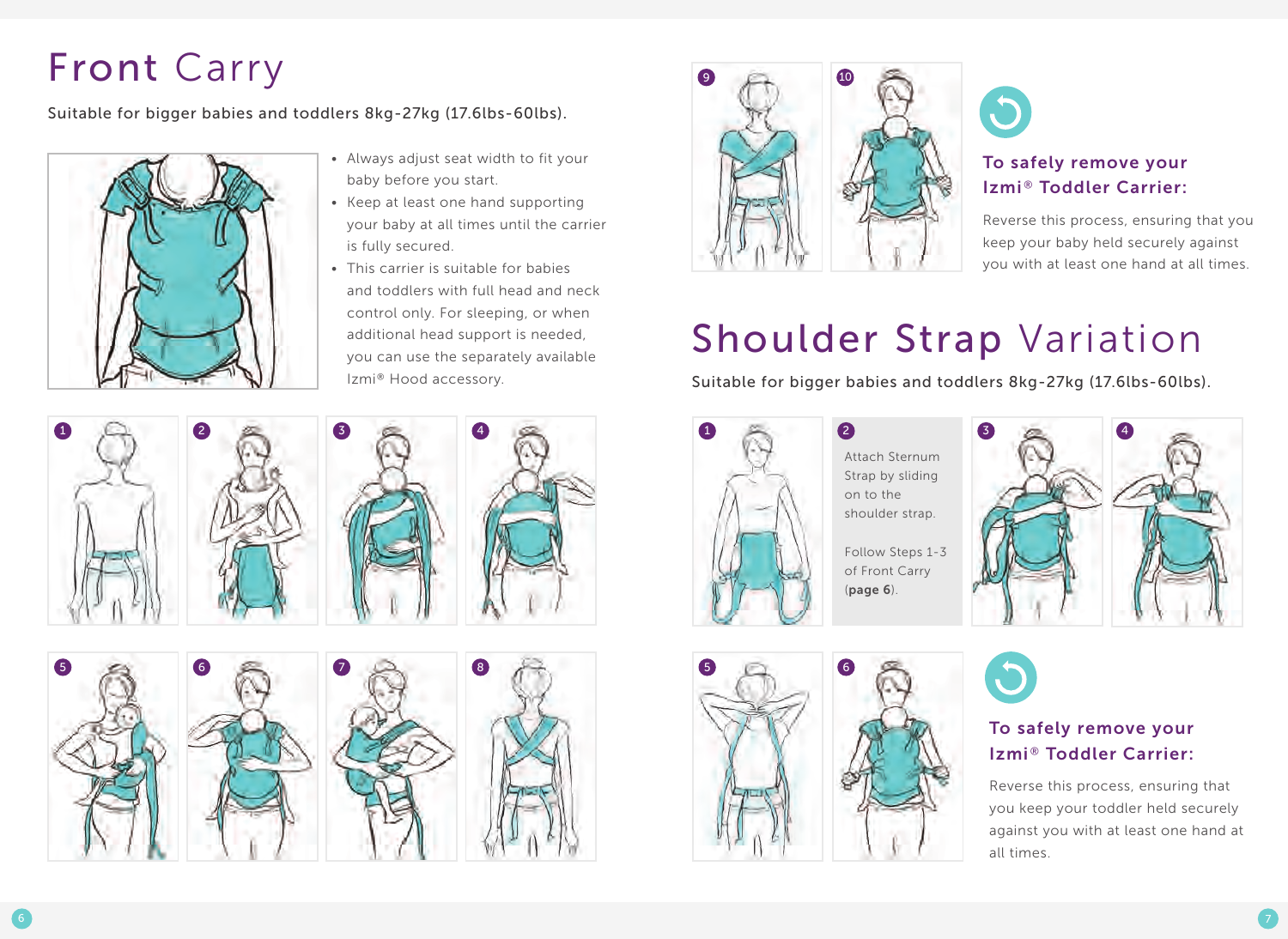# Front Carry

Suitable for bigger babies and toddlers 8kg-27kg (17.6lbs-60lbs).



- Always adjust seat width to fit your baby before you start.
- $\bullet$  Keep at least one hand supporting your baby at all times until the carrier is fully secured.
- $\bullet$  This carrier is suitable for babies and toddlers with full head and neck control only. For sleeping, or when additional head support is needed, you can use the separately available Izmi® Hood accessory.









## To safely remove your Izmi® Toddler Carrier:

Reverse this process, ensuring that you keep your baby held securely against you with at least one hand at all times.

# Shoulder Strap Variation

Suitable for bigger babies and toddlers 8kg-27kg (17.6lbs-60lbs).



5 6

Attach Sternum Strap by sliding on to the shoulder strap.

Follow Steps 1-3 of Front Carry (page 6).





### To safely remove your Izmi® Toddler Carrier:

Reverse this process, ensuring that you keep your toddler held securely against you with at least one hand at all times.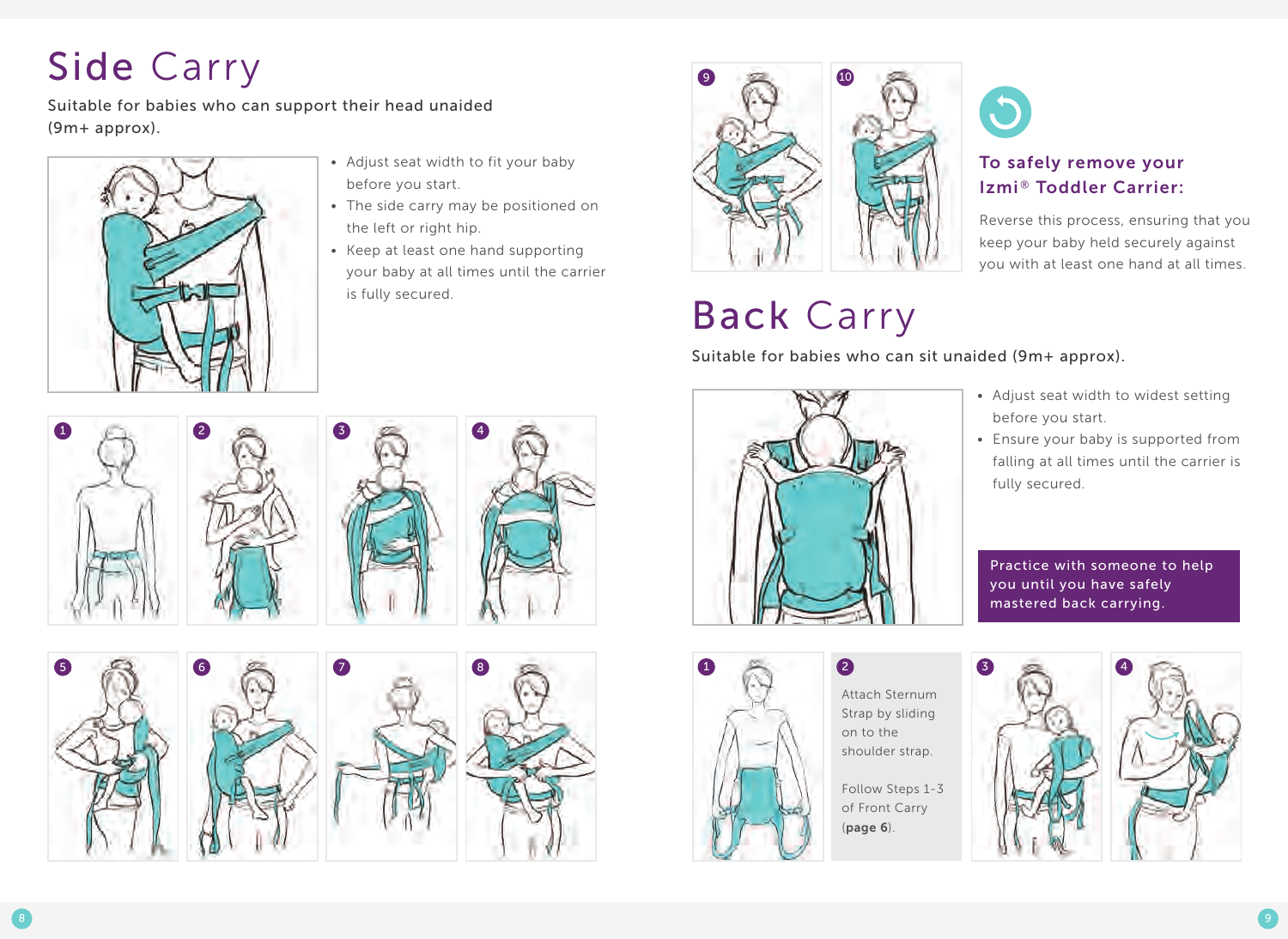# Side Carry

Suitable for babies who can support their head unaided (9m+ approx).



- Adjust seat width to fit your baby before you start.
- The side carry may be positioned on the left or right hip.
- $\bullet$  Keep at least one hand supporting your baby at all times until the carrier is fully secured.



# Back Carry



### To safely remove your Izmi® Toddler Carrier:

Reverse this process, ensuring that you keep your baby held securely against you with at least one hand at all times.

Suitable for babies who can sit unaided (9m+ approx).













- Adjust seat width to widest setting before you start.
- Ensure your baby is supported from falling at all times until the carrier is fully secured.

Practice with someone to help you until you have safely mastered back carrying.



Attach Sternum Strap by sliding on to the shoulder strap.

Follow Steps 1-3 of Front Carry (page 6).

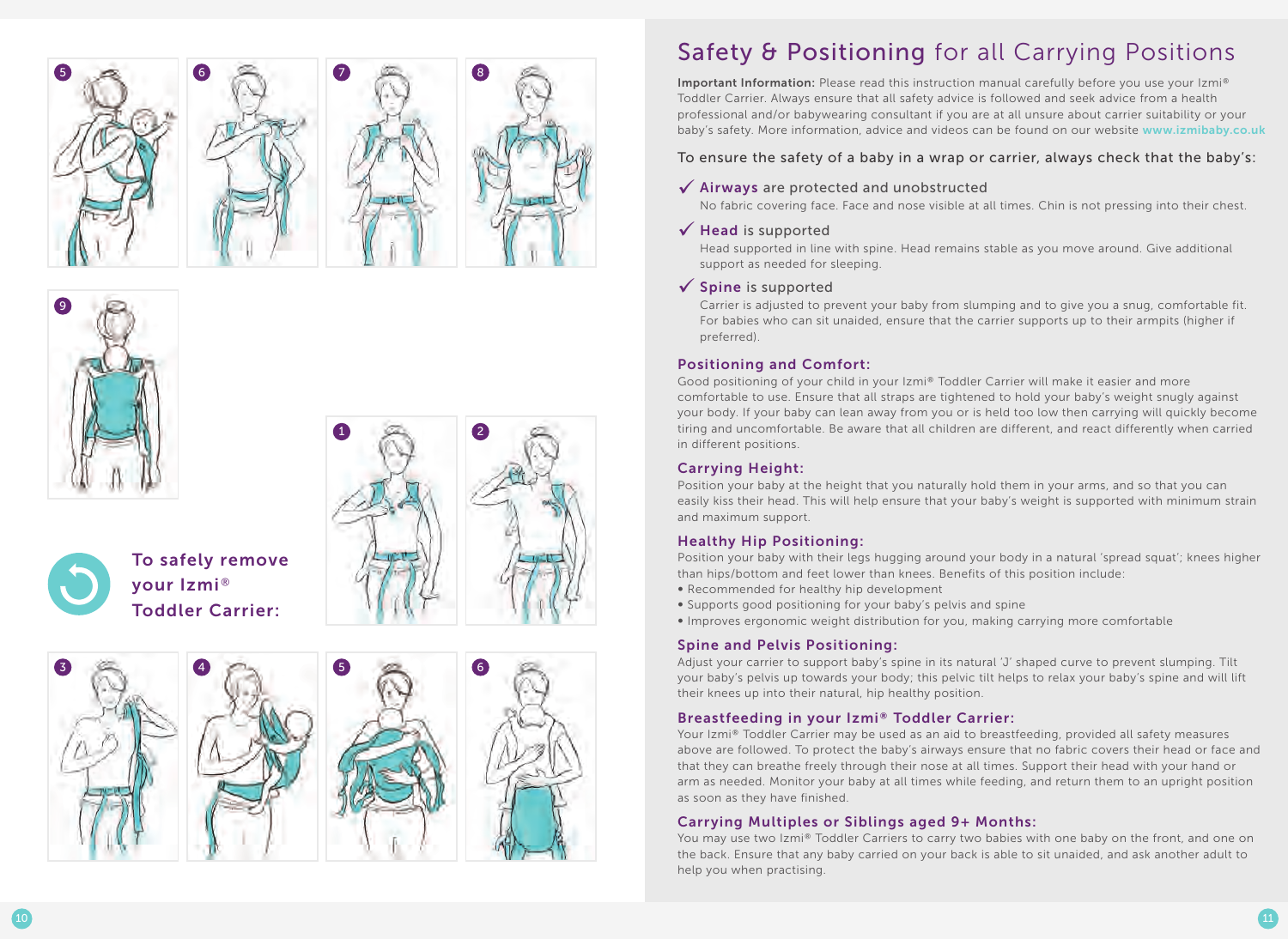





To safely remove your Izmi ® Toddler Carrier:





# Safety & Positioning for all Carrying Positions

**Important Information:** Please read this instruction manual carefully before you use your Izmi® Toddler Carrier. Always ensure that all safety advice is followed and seek advice from a health professional and/or babywearing consultant if you are at all unsure about carrier suitability or your baby's safety. More information, advice and videos can be found on our website www.izmibaby.co.uk

#### To ensure the safety of a baby in a wrap or carrier, always check that the baby's:

#### $\sqrt{\phantom{a}}$  Airways are protected and unobstructed

No fabric covering face. Face and nose visible at all times. Chin is not pressing into their chest.

#### $\checkmark$  Head is supported

Head supported in line with spine. Head remains stable as you move around. Give additional support as needed for sleeping.

# 9999  $\checkmark$  Spine is supported

Carrier is adjusted to prevent your baby from slumping and to give you a snug, comfortable fit. For babies who can sit unaided, ensure that the carrier supports up to their armpits (higher if preferred).

#### Positioning and Comfort:

Good positioning of your child in your Izmi ® Toddler Carrier will make it easier and more comfortable to use. Ensure that all straps are tightened to hold your baby's weight snugly against your body. If your baby can lean away from you or is held too low then carrying will quickly become tiring and uncomfortable. Be aware that all children are different, and react differently when carried in different positions.

#### Carrying Height:

Position your baby at the height that you naturally hold them in your arms, and so that you can easily kiss their head. This will help ensure that your baby's weight is supported with minimum strain and maximum support.

#### Healthy Hip Positioning:

Position your baby with their legs hugging around your body in a natural 'spread squat'; knees higher than hips/bottom and feet lower than knees. Benefits of this position include:

- Recommended for healthy hip development
- Supports good positioning for your baby's pelvis and spine
- Improves ergonomic weight distribution for you, making carrying more comfortable

#### Spine and Pelvis Positioning:

Adjust your carrier to support baby's spine in its natural 'J' shaped curve to prevent slumping. Tilt your baby's pelvis up towards your body; this pelvic tilt helps to relax your baby's spine and will lift their knees up into their natural, hip healthy position.

#### Breastfeeding in your Izmi ® Toddler Carrier:

Your Izmi ® Toddler Carrier may be used as an aid to breastfeeding, provided all safety measures above are followed. To protect the baby's airways ensure that no fabric covers their head or face and that they can breathe freely through their nose at all times. Support their head with your hand or arm as needed. Monitor your baby at all times while feeding, and return them to an upright position as soon as they have finished.

#### Carrying Multiples or Siblings aged 9+ Months:

You may use two Izmi® Toddler Carriers to carry two babies with one baby on the front, and one on the back. Ensure that any baby carried on your back is able to sit unaided, and ask another adult to help you when practising.